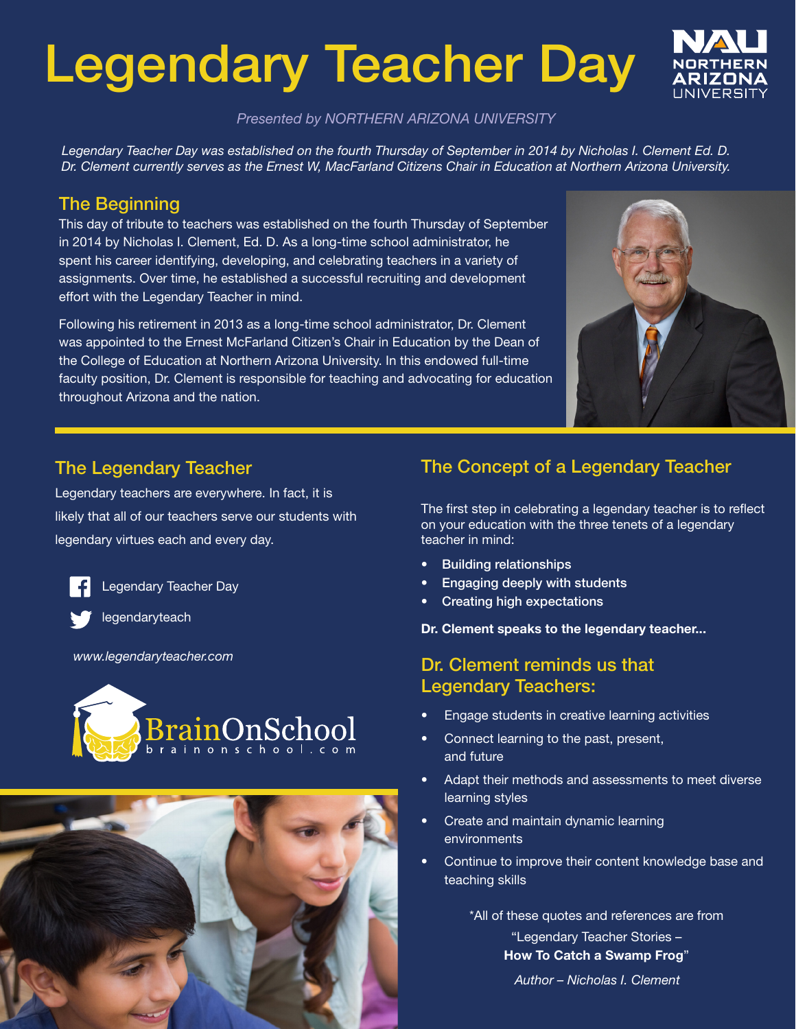# Legendary Teacher Day



*Presented by NORTHERN ARIZONA UNIVERSITY*

*Legendary Teacher Day was established on the fourth Thursday of September in 2014 by Nicholas I. Clement Ed. D. Dr. Clement currently serves as the Ernest W, MacFarland Citizens Chair in Education at Northern Arizona University.*

#### The Beginning

This day of tribute to teachers was established on the fourth Thursday of September in 2014 by Nicholas I. Clement, Ed. D. As a long-time school administrator, he spent his career identifying, developing, and celebrating teachers in a variety of assignments. Over time, he established a successful recruiting and development effort with the Legendary Teacher in mind.

Following his retirement in 2013 as a long-time school administrator, Dr. Clement was appointed to the Ernest McFarland Citizen's Chair in Education by the Dean of the College of Education at Northern Arizona University. In this endowed full-time faculty position, Dr. Clement is responsible for teaching and advocating for education throughout Arizona and the nation.



#### The Legendary Teacher

Legendary teachers are everywhere. In fact, it is likely that all of our teachers serve our students with legendary virtues each and every day.

Legendary Teacher Day

legendaryteach

*www.legendaryteacher.com*





#### The Concept of a Legendary Teacher

The first step in celebrating a legendary teacher is to reflect on your education with the three tenets of a legendary teacher in mind:

- Building relationships
- Engaging deeply with students
- Creating high expectations

Dr. Clement speaks to the legendary teacher...

#### Dr. Clement reminds us that Legendary Teachers:

- Engage students in creative learning activities
- Connect learning to the past, present, and future
- Adapt their methods and assessments to meet diverse learning styles
- Create and maintain dynamic learning environments
- Continue to improve their content knowledge base and teaching skills

\*All of these quotes and references are from "Legendary Teacher Stories – How To Catch a Swamp Frog"

*Author – Nicholas I. Clement*